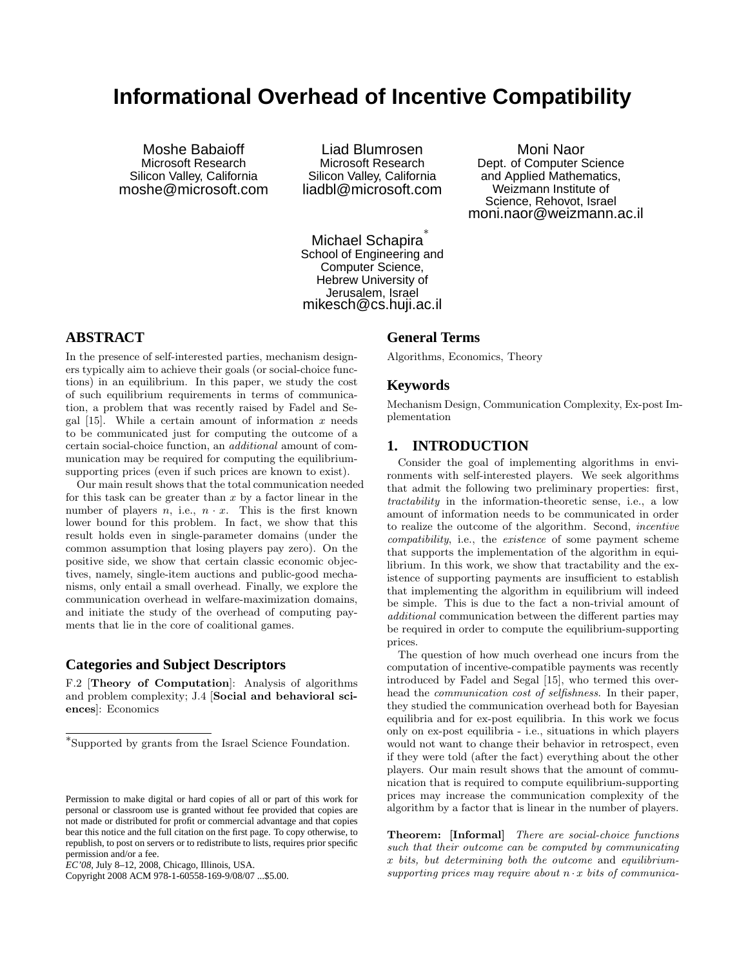# **Informational Overhead of Incentive Compatibility**

Moshe Babaioff Microsoft Research Silicon Valley, California moshe@microsoft.com

Liad Blumrosen Microsoft Research Silicon Valley, California liadbl@microsoft.com

Moni Naor Dept. of Computer Science and Applied Mathematics, Weizmann Institute of Science, Rehovot, Israel moni.naor@weizmann.ac.il

Michael Schapira<sup>\*</sup> School of Engineering and Computer Science, Hebrew University of Jerusalem, Israel mikesch@cs.huji.ac.il

# **ABSTRACT**

In the presence of self-interested parties, mechanism designers typically aim to achieve their goals (or social-choice functions) in an equilibrium. In this paper, we study the cost of such equilibrium requirements in terms of communication, a problem that was recently raised by Fadel and Segal  $[15]$ . While a certain amount of information x needs to be communicated just for computing the outcome of a certain social-choice function, an additional amount of communication may be required for computing the equilibriumsupporting prices (even if such prices are known to exist).

Our main result shows that the total communication needed for this task can be greater than  $x$  by a factor linear in the number of players  $n$ , i.e.,  $n \cdot x$ . This is the first known lower bound for this problem. In fact, we show that this result holds even in single-parameter domains (under the common assumption that losing players pay zero). On the positive side, we show that certain classic economic objectives, namely, single-item auctions and public-good mechanisms, only entail a small overhead. Finally, we explore the communication overhead in welfare-maximization domains, and initiate the study of the overhead of computing payments that lie in the core of coalitional games.

## **Categories and Subject Descriptors**

F.2 [Theory of Computation]: Analysis of algorithms and problem complexity; J.4 [Social and behavioral sciences]: Economics

Copyright 2008 ACM 978-1-60558-169-9/08/07 ...\$5.00.

#### **General Terms**

Algorithms, Economics, Theory

#### **Keywords**

Mechanism Design, Communication Complexity, Ex-post Implementation

## **1. INTRODUCTION**

Consider the goal of implementing algorithms in environments with self-interested players. We seek algorithms that admit the following two preliminary properties: first, tractability in the information-theoretic sense, i.e., a low amount of information needs to be communicated in order to realize the outcome of the algorithm. Second, incentive compatibility, i.e., the existence of some payment scheme that supports the implementation of the algorithm in equilibrium. In this work, we show that tractability and the existence of supporting payments are insufficient to establish that implementing the algorithm in equilibrium will indeed be simple. This is due to the fact a non-trivial amount of additional communication between the different parties may be required in order to compute the equilibrium-supporting prices.

The question of how much overhead one incurs from the computation of incentive-compatible payments was recently introduced by Fadel and Segal [15], who termed this overhead the communication cost of selfishness. In their paper, they studied the communication overhead both for Bayesian equilibria and for ex-post equilibria. In this work we focus only on ex-post equilibria - i.e., situations in which players would not want to change their behavior in retrospect, even if they were told (after the fact) everything about the other players. Our main result shows that the amount of communication that is required to compute equilibrium-supporting prices may increase the communication complexity of the algorithm by a factor that is linear in the number of players.

Theorem: [Informal] There are social-choice functions such that their outcome can be computed by communicating x bits, but determining both the outcome and equilibriumsupporting prices may require about  $n \cdot x$  bits of communica-

<sup>∗</sup> Supported by grants from the Israel Science Foundation.

Permission to make digital or hard copies of all or part of this work for personal or classroom use is granted without fee provided that copies are not made or distributed for profit or commercial advantage and that copies bear this notice and the full citation on the first page. To copy otherwise, to republish, to post on servers or to redistribute to lists, requires prior specific permission and/or a fee.

*EC'08,* July 8–12, 2008, Chicago, Illinois, USA.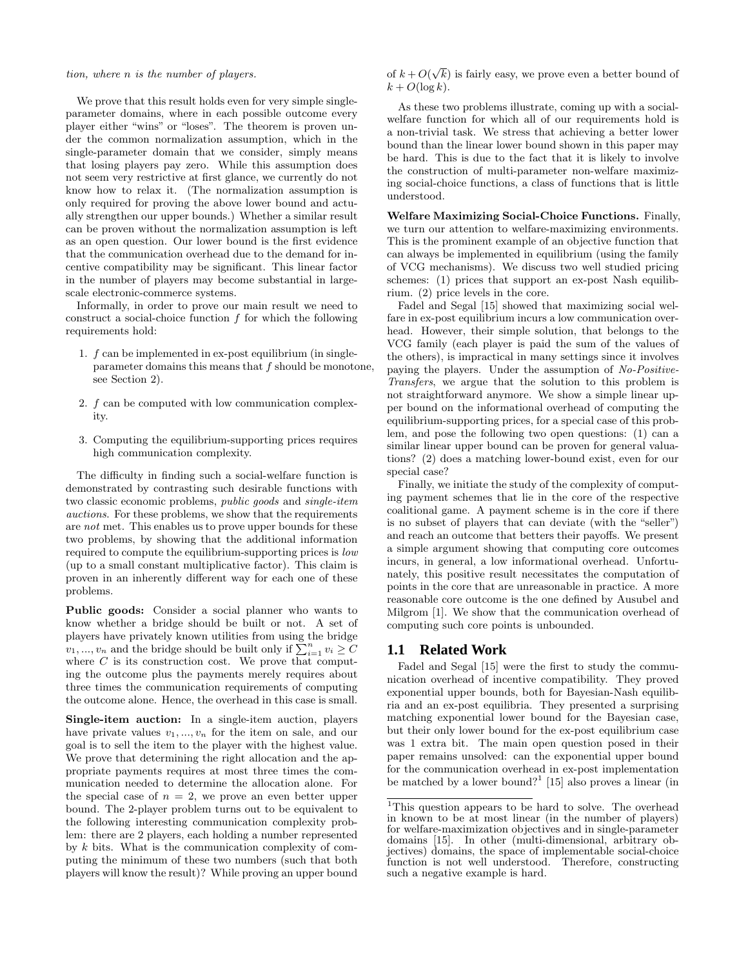#### tion, where n is the number of players.

We prove that this result holds even for very simple singleparameter domains, where in each possible outcome every player either "wins" or "loses". The theorem is proven under the common normalization assumption, which in the single-parameter domain that we consider, simply means that losing players pay zero. While this assumption does not seem very restrictive at first glance, we currently do not know how to relax it. (The normalization assumption is only required for proving the above lower bound and actually strengthen our upper bounds.) Whether a similar result can be proven without the normalization assumption is left as an open question. Our lower bound is the first evidence that the communication overhead due to the demand for incentive compatibility may be significant. This linear factor in the number of players may become substantial in largescale electronic-commerce systems.

Informally, in order to prove our main result we need to construct a social-choice function  $f$  for which the following requirements hold:

- 1. f can be implemented in ex-post equilibrium (in singleparameter domains this means that f should be monotone, see Section 2).
- 2. f can be computed with low communication complexity.
- 3. Computing the equilibrium-supporting prices requires high communication complexity.

The difficulty in finding such a social-welfare function is demonstrated by contrasting such desirable functions with two classic economic problems, public goods and single-item auctions. For these problems, we show that the requirements are not met. This enables us to prove upper bounds for these two problems, by showing that the additional information required to compute the equilibrium-supporting prices is low (up to a small constant multiplicative factor). This claim is proven in an inherently different way for each one of these problems.

Public goods: Consider a social planner who wants to know whether a bridge should be built or not. A set of players have privately known utilities from using the bridge players have privately known utilities from using the bridge  $v_1, ..., v_n$  and the bridge should be built only if  $\sum_{i=1}^n v_i \geq C$ where  $C$  is its construction cost. We prove that computing the outcome plus the payments merely requires about three times the communication requirements of computing the outcome alone. Hence, the overhead in this case is small.

Single-item auction: In a single-item auction, players have private values  $v_1, ..., v_n$  for the item on sale, and our goal is to sell the item to the player with the highest value. We prove that determining the right allocation and the appropriate payments requires at most three times the communication needed to determine the allocation alone. For the special case of  $n = 2$ , we prove an even better upper bound. The 2-player problem turns out to be equivalent to the following interesting communication complexity problem: there are 2 players, each holding a number represented by k bits. What is the communication complexity of computing the minimum of these two numbers (such that both players will know the result)? While proving an upper bound

of  $k + O(\sqrt{k})$  is fairly easy, we prove even a better bound of  $k + O(\log k)$ .

As these two problems illustrate, coming up with a socialwelfare function for which all of our requirements hold is a non-trivial task. We stress that achieving a better lower bound than the linear lower bound shown in this paper may be hard. This is due to the fact that it is likely to involve the construction of multi-parameter non-welfare maximizing social-choice functions, a class of functions that is little understood.

Welfare Maximizing Social-Choice Functions. Finally, we turn our attention to welfare-maximizing environments. This is the prominent example of an objective function that can always be implemented in equilibrium (using the family of VCG mechanisms). We discuss two well studied pricing schemes: (1) prices that support an ex-post Nash equilibrium. (2) price levels in the core.

Fadel and Segal [15] showed that maximizing social welfare in ex-post equilibrium incurs a low communication overhead. However, their simple solution, that belongs to the VCG family (each player is paid the sum of the values of the others), is impractical in many settings since it involves paying the players. Under the assumption of No-Positive-Transfers, we argue that the solution to this problem is not straightforward anymore. We show a simple linear upper bound on the informational overhead of computing the equilibrium-supporting prices, for a special case of this problem, and pose the following two open questions: (1) can a similar linear upper bound can be proven for general valuations? (2) does a matching lower-bound exist, even for our special case?

Finally, we initiate the study of the complexity of computing payment schemes that lie in the core of the respective coalitional game. A payment scheme is in the core if there is no subset of players that can deviate (with the "seller") and reach an outcome that betters their payoffs. We present a simple argument showing that computing core outcomes incurs, in general, a low informational overhead. Unfortunately, this positive result necessitates the computation of points in the core that are unreasonable in practice. A more reasonable core outcome is the one defined by Ausubel and Milgrom [1]. We show that the communication overhead of computing such core points is unbounded.

#### **1.1 Related Work**

Fadel and Segal [15] were the first to study the communication overhead of incentive compatibility. They proved exponential upper bounds, both for Bayesian-Nash equilibria and an ex-post equilibria. They presented a surprising matching exponential lower bound for the Bayesian case, but their only lower bound for the ex-post equilibrium case was 1 extra bit. The main open question posed in their paper remains unsolved: can the exponential upper bound for the communication overhead in ex-post implementation be matched by a lower bound?<sup>1</sup> [15] also proves a linear (in

<sup>&</sup>lt;sup>1</sup>This question appears to be hard to solve. The overhead in known to be at most linear (in the number of players) for welfare-maximization objectives and in single-parameter domains [15]. In other (multi-dimensional, arbitrary objectives) domains, the space of implementable social-choice function is not well understood. Therefore, constructing such a negative example is hard.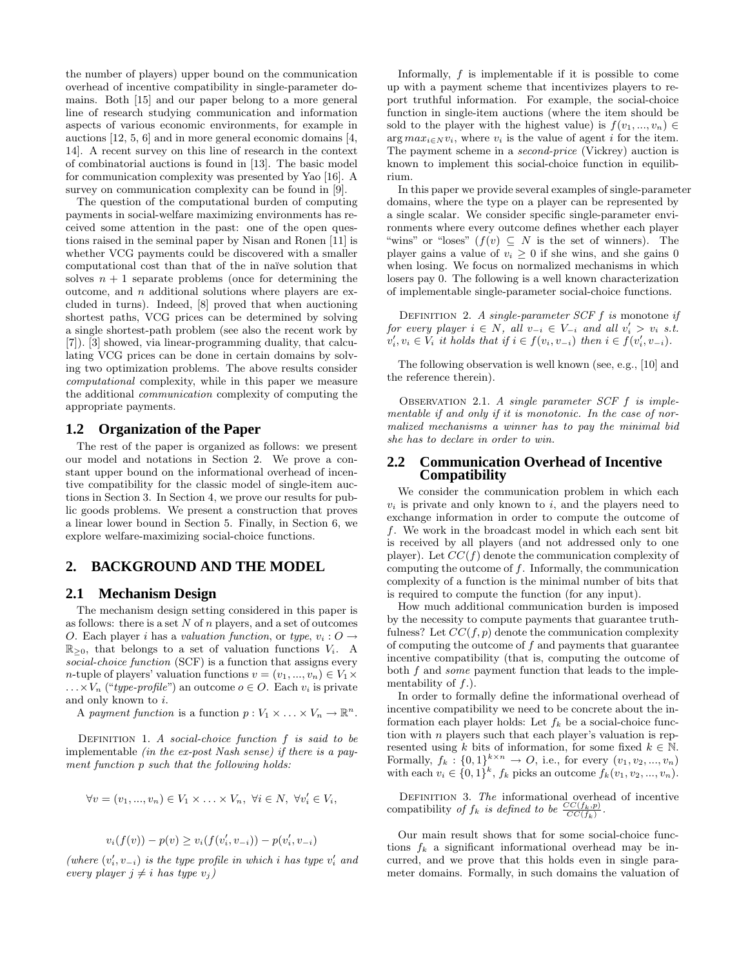the number of players) upper bound on the communication overhead of incentive compatibility in single-parameter domains. Both [15] and our paper belong to a more general line of research studying communication and information aspects of various economic environments, for example in auctions [12, 5, 6] and in more general economic domains [4, 14]. A recent survey on this line of research in the context of combinatorial auctions is found in [13]. The basic model for communication complexity was presented by Yao [16]. A survey on communication complexity can be found in [9].

The question of the computational burden of computing payments in social-welfare maximizing environments has received some attention in the past: one of the open questions raised in the seminal paper by Nisan and Ronen [11] is whether VCG payments could be discovered with a smaller computational cost than that of the in naïve solution that solves  $n + 1$  separate problems (once for determining the outcome, and  $n$  additional solutions where players are excluded in turns). Indeed, [8] proved that when auctioning shortest paths, VCG prices can be determined by solving a single shortest-path problem (see also the recent work by [7]). [3] showed, via linear-programming duality, that calculating VCG prices can be done in certain domains by solving two optimization problems. The above results consider computational complexity, while in this paper we measure the additional communication complexity of computing the appropriate payments.

## **1.2 Organization of the Paper**

The rest of the paper is organized as follows: we present our model and notations in Section 2. We prove a constant upper bound on the informational overhead of incentive compatibility for the classic model of single-item auctions in Section 3. In Section 4, we prove our results for public goods problems. We present a construction that proves a linear lower bound in Section 5. Finally, in Section 6, we explore welfare-maximizing social-choice functions.

#### **2. BACKGROUND AND THE MODEL**

#### **2.1 Mechanism Design**

The mechanism design setting considered in this paper is as follows: there is a set  $N$  of  $n$  players, and a set of outcomes O. Each player i has a valuation function, or type,  $v_i : O \rightarrow$  $\mathbb{R}_{\geq 0}$ , that belongs to a set of valuation functions  $V_i$ . A social-choice function (SCF) is a function that assigns every n-tuple of players' valuation functions  $v = (v_1, ..., v_n) \in V_1 \times$  $\ldots \times V_n$  ("type-profile") an outcome  $o \in O$ . Each  $v_i$  is private and only known to i.

A payment function is a function  $p: V_1 \times \ldots \times V_n \to \mathbb{R}^n$ .

DEFINITION 1. A social-choice function  $f$  is said to be implementable (in the ex-post Nash sense) if there is a payment function p such that the following holds:

$$
\forall v = (v_1, ..., v_n) \in V_1 \times ... \times V_n, \ \forall i \in N, \ \forall v'_i \in V_i,
$$

$$
v_i(f(v)) - p(v) \ge v_i(f(v'_i, v_{-i})) - p(v'_i, v_{-i})
$$

(where  $(v'_i, v_{-i})$  is the type profile in which i has type  $v'_i$  and every player  $j \neq i$  has type  $v_j$ )

Informally,  $f$  is implementable if it is possible to come up with a payment scheme that incentivizes players to report truthful information. For example, the social-choice function in single-item auctions (where the item should be sold to the player with the highest value) is  $f(v_1, ..., v_n) \in$  $\arg max_{i \in N} v_i$ , where  $v_i$  is the value of agent i for the item. The payment scheme in a second-price (Vickrey) auction is known to implement this social-choice function in equilibrium.

In this paper we provide several examples of single-parameter domains, where the type on a player can be represented by a single scalar. We consider specific single-parameter environments where every outcome defines whether each player "wins" or "loses"  $(f(v) \subseteq N$  is the set of winners). The player gains a value of  $v_i \geq 0$  if she wins, and she gains 0 when losing. We focus on normalized mechanisms in which losers pay 0. The following is a well known characterization of implementable single-parameter social-choice functions.

DEFINITION 2. A single-parameter  $SCF f$  is monotone if for every player  $i \in N$ , all  $v_{-i} \in V_{-i}$  and all  $v'_i > v_i$  s.t.  $v'_i, v_i \in V_i$  it holds that if  $i \in f(v_i, v_{-i})$  then  $i \in f(v'_i, v_{-i})$ .

The following observation is well known (see, e.g., [10] and the reference therein).

OBSERVATION 2.1. A single parameter  $SCF$  f is implementable if and only if it is monotonic. In the case of normalized mechanisms a winner has to pay the minimal bid she has to declare in order to win.

#### **2.2 Communication Overhead of Incentive Compatibility**

We consider the communication problem in which each  $v_i$  is private and only known to i, and the players need to exchange information in order to compute the outcome of f. We work in the broadcast model in which each sent bit is received by all players (and not addressed only to one player). Let  $CC(f)$  denote the communication complexity of computing the outcome of f. Informally, the communication complexity of a function is the minimal number of bits that is required to compute the function (for any input).

How much additional communication burden is imposed by the necessity to compute payments that guarantee truthfulness? Let  $CC(f, p)$  denote the communication complexity of computing the outcome of  $f$  and payments that guarantee incentive compatibility (that is, computing the outcome of both  $f$  and *some* payment function that leads to the implementability of  $f$ .).

In order to formally define the informational overhead of incentive compatibility we need to be concrete about the information each player holds: Let  $f_k$  be a social-choice function with  $n$  players such that each player's valuation is represented using k bits of information, for some fixed  $k \in \mathbb{N}$ . Formally,  $f_k: \{0,1\}^{k \times n} \to O$ , i.e., for every  $(v_1, v_2, ..., v_n)$ with each  $v_i \in \{0,1\}^k$ ,  $f_k$  picks an outcome  $f_k(v_1, v_2, ..., v_n)$ .

DEFINITION 3. The informational overhead of incentive compatibility of  $f_k$  is defined to be  $\frac{CC(f_k, p)}{CC(f_k)}$ .

Our main result shows that for some social-choice functions  $f_k$  a significant informational overhead may be incurred, and we prove that this holds even in single parameter domains. Formally, in such domains the valuation of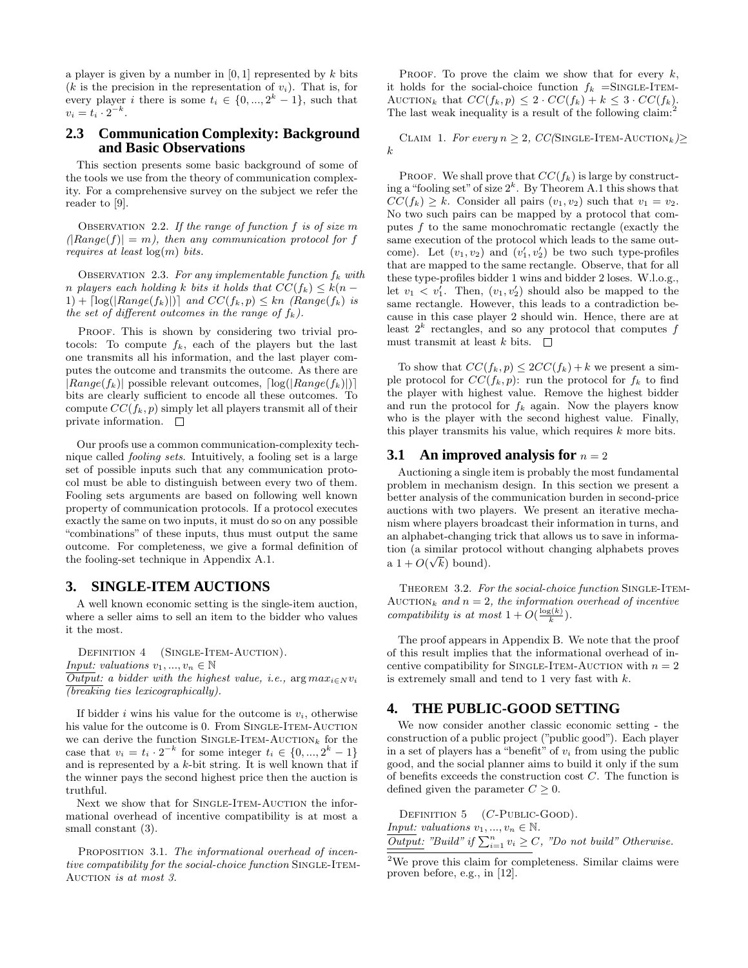a player is given by a number in  $[0, 1]$  represented by k bits (k is the precision in the representation of  $v_i$ ). That is, for every player i there is some  $t_i \in \{0, ..., 2^k-1\}$ , such that  $v_i = t_i \cdot 2^{-k}.$ 

## **2.3 Communication Complexity: Background and Basic Observations**

This section presents some basic background of some of the tools we use from the theory of communication complexity. For a comprehensive survey on the subject we refer the reader to [9].

OBSERVATION 2.2. If the range of function  $f$  is of size m  $(Range(f)) = m$ , then any communication protocol for f requires at least  $log(m)$  bits.

OBSERVATION 2.3. For any implementable function  $f_k$  with n players each holding k bits it holds that  $CC(f_k) \leq k(n - \frac{1}{n})$ 1) +  $\lceil \log(|Range(f_k)|) \rceil$  and  $CC(f_k, p) \leq kn$  (Range(f<sub>k</sub>) is the set of different outcomes in the range of  $f_k$ ).

PROOF. This is shown by considering two trivial protocols: To compute  $f_k$ , each of the players but the last one transmits all his information, and the last player computes the outcome and transmits the outcome. As there are  $|Range(f_k)|$  possible relevant outcomes,  $[log(|Range(f_k)|)]$ bits are clearly sufficient to encode all these outcomes. To compute  $CC(f_k, p)$  simply let all players transmit all of their private information.  $\Box$ 

Our proofs use a common communication-complexity technique called fooling sets. Intuitively, a fooling set is a large set of possible inputs such that any communication protocol must be able to distinguish between every two of them. Fooling sets arguments are based on following well known property of communication protocols. If a protocol executes exactly the same on two inputs, it must do so on any possible "combinations" of these inputs, thus must output the same outcome. For completeness, we give a formal definition of the fooling-set technique in Appendix A.1.

## **3. SINGLE-ITEM AUCTIONS**

A well known economic setting is the single-item auction, where a seller aims to sell an item to the bidder who values it the most.

DEFINITION 4 (SINGLE-ITEM-AUCTION). *Input: valuations*  $v_1, ..., v_n \in \mathbb{N}$  $\overline{Output:}$  a bidder with the highest value, i.e.,  $\arg max_{i \in N} v_i$  $\sqrt{\text{breaking}}$  ties lexicographically).

If bidder i wins his value for the outcome is  $v_i$ , otherwise his value for the outcome is 0. From SINGLE-ITEM-AUCTION we can derive the function SINGLE-ITEM-AUCTION<sub>k</sub> for the case that  $v_i = t_i \cdot 2^{-k}$  for some integer  $t_i \in \{0, ..., 2^k - 1\}$ and is represented by a  $k$ -bit string. It is well known that if the winner pays the second highest price then the auction is truthful.

Next we show that for SINGLE-ITEM-AUCTION the informational overhead of incentive compatibility is at most a small constant (3).

PROPOSITION 3.1. The informational overhead of incentive compatibility for the social-choice function SINGLE-ITEM-AUCTION is at most 3.

PROOF. To prove the claim we show that for every  $k$ , it holds for the social-choice function  $f_k = \text{SINGLE-IFEM}$ AUCTION<sub>k</sub> that  $CC(f_k, p) \leq 2 \cdot CC(f_k) + k \leq 3 \cdot CC(f_k)$ . The last weak inequality is a result of the following claim:<sup>2</sup>

CLAIM 1. For every  $n \geq 2$ , CC(SINGLE-ITEM-AUCTION<sub>k</sub>) k

PROOF. We shall prove that  $CC(f_k)$  is large by constructing a "fooling set" of size  $2^k$ . By Theorem A.1 this shows that  $CC(f_k) \geq k$ . Consider all pairs  $(v_1, v_2)$  such that  $v_1 = v_2$ . No two such pairs can be mapped by a protocol that computes  $f$  to the same monochromatic rectangle (exactly the same execution of the protocol which leads to the same outcome). Let  $(v_1, v_2)$  and  $(v'_1, v'_2)$  be two such type-profiles that are mapped to the same rectangle. Observe, that for all these type-profiles bidder 1 wins and bidder 2 loses. W.l.o.g., let  $v_1 \nvert v_1'$ . Then,  $(v_1, v_2')$  should also be mapped to the same rectangle. However, this leads to a contradiction because in this case player 2 should win. Hence, there are at least  $2^k$  rectangles, and so any protocol that computes f must transmit at least k bits.  $\square$ 

To show that  $CC(f_k, p) \leq 2CC(f_k) + k$  we present a simple protocol for  $CC(f_k, p)$ : run the protocol for  $f_k$  to find the player with highest value. Remove the highest bidder and run the protocol for  $f_k$  again. Now the players know who is the player with the second highest value. Finally, this player transmits his value, which requires  $k$  more bits.

#### **3.1** An improved analysis for  $n = 2$

Auctioning a single item is probably the most fundamental problem in mechanism design. In this section we present a better analysis of the communication burden in second-price auctions with two players. We present an iterative mechanism where players broadcast their information in turns, and an alphabet-changing trick that allows us to save in information (a similar protocol without changing alphabets proves √ a  $1 + O(\sqrt{k})$  bound).

THEOREM 3.2. For the social-choice function SINGLE-ITEM-AUCTION<sub>k</sub> and  $n = 2$ , the information overhead of incentive compatibility is at most  $1 + O(\frac{\log(k)}{k})$ .

The proof appears in Appendix B. We note that the proof of this result implies that the informational overhead of incentive compatibility for SINGLE-ITEM-AUCTION with  $n = 2$ is extremely small and tend to 1 very fast with  $k$ .

## **4. THE PUBLIC-GOOD SETTING**

We now consider another classic economic setting - the construction of a public project ("public good"). Each player in a set of players has a "benefit" of  $v_i$  from using the public good, and the social planner aims to build it only if the sum of benefits exceeds the construction cost C. The function is defined given the parameter  $C \geq 0$ .

DEFINITION  $5$  (*C*-PUBLIC-GOOD). Input: valuations  $v_1, ..., v_n \in \mathbb{N}$ .  $\frac{Input}{Output:}$  "Build" if  $\sum_{i=1}^{n} v_i \ge C$ , "Do not build" Otherwise.

 $2$ We prove this claim for completeness. Similar claims were proven before, e.g., in [12].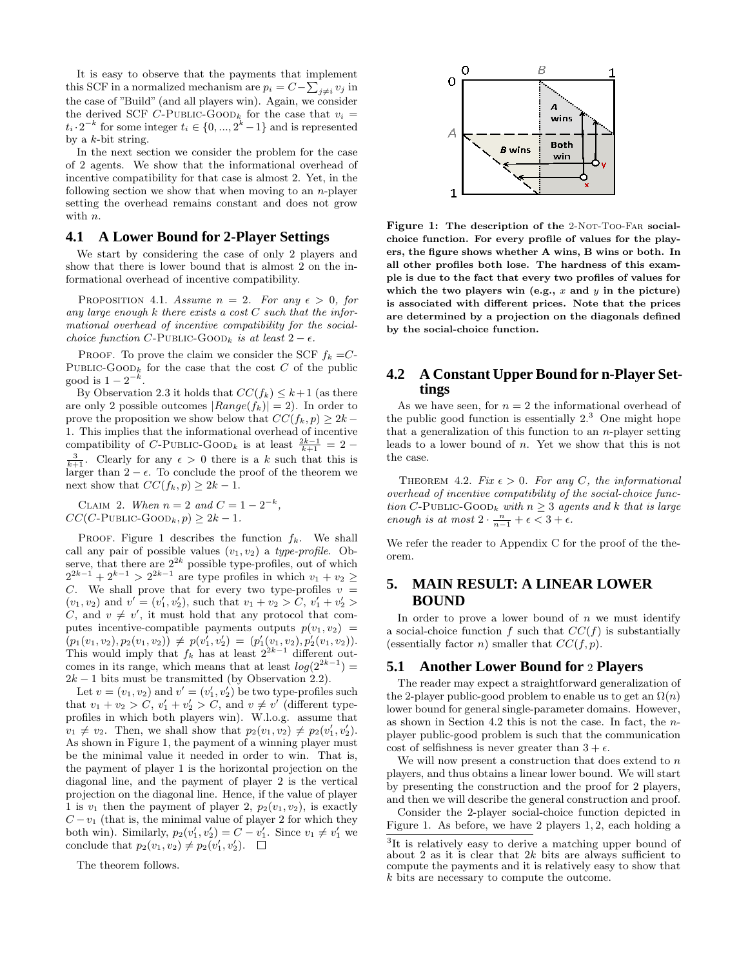It is easy to observe that the payments that implement this SCF in a normalized mechanism are  $p_i = C - \sum_{j \neq i} v_j$  in the case of "Build" (and all players win). Again, we consider the derived SCF C-PUBLIC-GOOD<sub>k</sub> for the case that  $v_i$  =  $t_i \cdot 2^{-k}$  for some integer  $t_i \in \{0, ..., 2^k-1\}$  and is represented by a  $k$ -bit string.

In the next section we consider the problem for the case of 2 agents. We show that the informational overhead of incentive compatibility for that case is almost 2. Yet, in the following section we show that when moving to an *n*-player setting the overhead remains constant and does not grow with  $n$ .

#### **4.1 A Lower Bound for 2-Player Settings**

We start by considering the case of only 2 players and show that there is lower bound that is almost 2 on the informational overhead of incentive compatibility.

PROPOSITION 4.1. Assume  $n = 2$ . For any  $\epsilon > 0$ , for any large enough  $k$  there exists a cost  $C$  such that the informational overhead of incentive compatibility for the socialchoice function C-PUBLIC-GOOD<sub>k</sub> is at least  $2 - \epsilon$ .

PROOF. To prove the claim we consider the SCF  $f_k = C$ -PUBLIC-GOOD<sub>k</sub> for the case that the cost C of the public good is  $1 - 2^{-k}$ .

By Observation 2.3 it holds that  $CC(f_k) \leq k+1$  (as there are only 2 possible outcomes  $|Range(f_k)| = 2$ . In order to prove the proposition we show below that  $CC(f_k, p) \geq 2k -$ 1. This implies that the informational overhead of incentive compatibility of C-PUBLIC-GOOD<sub>k</sub> is at least  $\frac{2k-1}{k+1} = 2 \frac{3}{k+1}$ . Clearly for any  $\epsilon > 0$  there is a k such that this is larger than  $2 - \epsilon$ . To conclude the proof of the theorem we next show that  $CC(f_k, p) \geq 2k - 1$ .

CLAIM 2. When  $n = 2$  and  $C = 1 - 2^{-k}$ ,  $CC(C$ -PUBLIC-GOOD<sub>k</sub>,  $p$ )  $\geq 2k - 1$ .

PROOF. Figure 1 describes the function  $f_k$ . We shall call any pair of possible values  $(v_1, v_2)$  a type-profile. Observe, that there are  $2^{2k}$  possible type-profiles, out of which  $2^{2k-1} + 2^{k-1} > 2^{2k-1}$  are type profiles in which  $v_1 + v_2 \ge$ C. We shall prove that for every two type-profiles  $v =$  $(v_1, v_2)$  and  $v' = (v'_1, v'_2)$ , such that  $v_1 + v_2 > C$ ,  $v'_1 + v'_2 > C$ C, and  $v \neq v'$ , it must hold that any protocol that computes incentive-compatible payments outputs  $p(v_1, v_2)$  =  $\overline{\big(p_1(v_1,v_2),p_2(v_1,v_2)\big)}\,\neq\, p(v_1^{'},v_2')\,=\, (p_1'(v_1,v_2),p_2'(v_1,v_2)).$ This would imply that  $f_k$  has at least  $2^{2k-1}$  different outcomes in its range, which means that at least  $log(2^{2k-1}) =$  $2k - 1$  bits must be transmitted (by Observation 2.2).

Let  $v = (v_1, v_2)$  and  $v' = (v'_1, v'_2)$  be two type-profiles such that  $v_1 + v_2 > C$ ,  $v'_1 + v'_2 > C$ , and  $v \neq v'$  (different typeprofiles in which both players win). W.l.o.g. assume that  $v_1 \neq v_2$ . Then, we shall show that  $p_2(v_1, v_2) \neq p_2(v'_1, v'_2)$ . As shown in Figure 1, the payment of a winning player must be the minimal value it needed in order to win. That is, the payment of player 1 is the horizontal projection on the diagonal line, and the payment of player 2 is the vertical projection on the diagonal line. Hence, if the value of player 1 is  $v_1$  then the payment of player 2,  $p_2(v_1, v_2)$ , is exactly  $C - v_1$  (that is, the minimal value of player 2 for which they both win). Similarly,  $p_2(v'_1, v'_2) = C - v'_1$ . Since  $v_1 \neq v'_1$  we conclude that  $p_2(v_1, v_2) \neq p_2(v'_1, v'_2)$ .

The theorem follows.



Figure 1: The description of the 2-Not-Too-Far socialchoice function. For every profile of values for the players, the figure shows whether A wins, B wins or both. In all other profiles both lose. The hardness of this example is due to the fact that every two profiles of values for which the two players win (e.g.,  $x$  and  $y$  in the picture) is associated with different prices. Note that the prices are determined by a projection on the diagonals defined by the social-choice function.

## **4.2 A Constant Upper Bound for n-Player Settings**

As we have seen, for  $n = 2$  the informational overhead of the public good function is essentially  $2<sup>3</sup>$  One might hope that a generalization of this function to an  $n$ -player setting leads to a lower bound of n. Yet we show that this is not the case.

THEOREM 4.2. Fix  $\epsilon > 0$ . For any C, the informational overhead of incentive compatibility of the social-choice function C-PUBLIC-GOOD<sub>k</sub> with  $n \geq 3$  agents and k that is large enough is at most  $2 \cdot \frac{n}{n-1} + \epsilon < 3 + \epsilon$ .

We refer the reader to Appendix C for the proof of the theorem.

# **5. MAIN RESULT: A LINEAR LOWER BOUND**

In order to prove a lower bound of  $n$  we must identify a social-choice function f such that  $CC(f)$  is substantially (essentially factor *n*) smaller that  $CC(f, p)$ .

## **5.1 Another Lower Bound for** 2 **Players**

The reader may expect a straightforward generalization of the 2-player public-good problem to enable us to get an  $\Omega(n)$ lower bound for general single-parameter domains. However, as shown in Section 4.2 this is not the case. In fact, the nplayer public-good problem is such that the communication cost of selfishness is never greater than  $3 + \epsilon$ .

We will now present a construction that does extend to  $n$ players, and thus obtains a linear lower bound. We will start by presenting the construction and the proof for 2 players, and then we will describe the general construction and proof.

Consider the 2-player social-choice function depicted in Figure 1. As before, we have 2 players 1, 2, each holding a

<sup>&</sup>lt;sup>3</sup>It is relatively easy to derive a matching upper bound of about 2 as it is clear that  $2k$  bits are always sufficient to compute the payments and it is relatively easy to show that k bits are necessary to compute the outcome.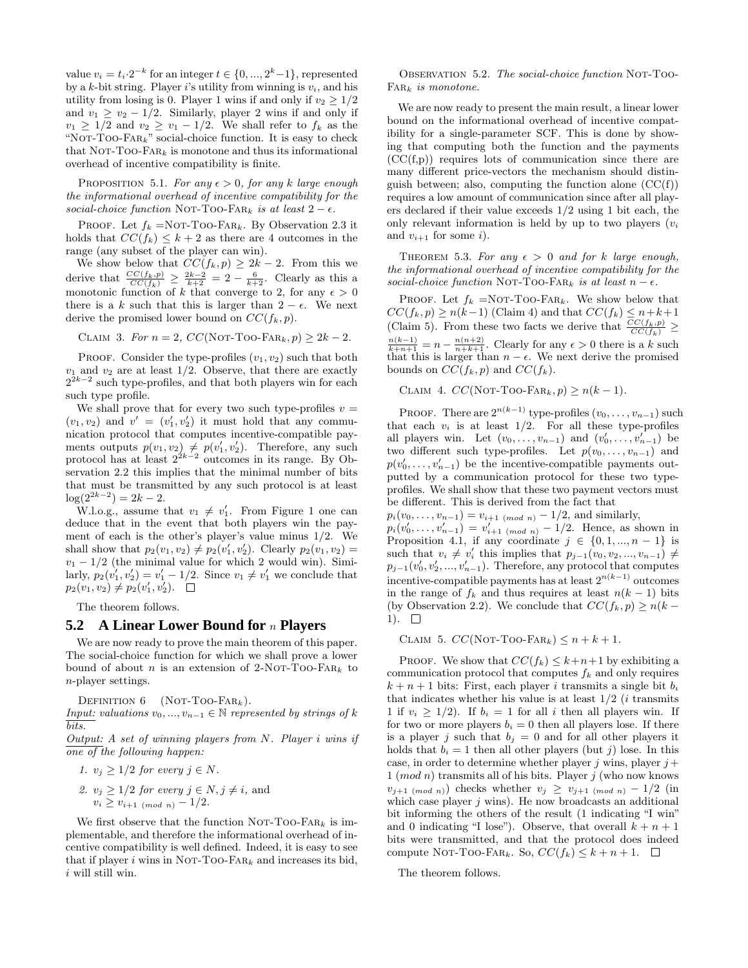value  $v_i = t_i \cdot 2^{-k}$  for an integer  $t \in \{0, ..., 2^k-1\}$ , represented by a k-bit string. Player i's utility from winning is  $v_i$ , and his utility from losing is 0. Player 1 wins if and only if  $v_2 \geq 1/2$ and  $v_1 \ge v_2 - 1/2$ . Similarly, player 2 wins if and only if  $v_1 \geq 1/2$  and  $v_2 \geq v_1 - 1/2$ . We shall refer to  $f_k$  as the "NOT-TOO- $FAR_k$ " social-choice function. It is easy to check that Not-Too-Fark is monotone and thus its informational overhead of incentive compatibility is finite.

PROPOSITION 5.1. For any  $\epsilon > 0$ , for any k large enough the informational overhead of incentive compatibility for the social-choice function NOT-TOO-FAR<sub>k</sub> is at least  $2 - \epsilon$ .

PROOF. Let  $f_k = NOT-TOO$ -FAR<sub>k</sub>. By Observation 2.3 it holds that  $CC(f_k) \leq k+2$  as there are 4 outcomes in the range (any subset of the player can win).

We show below that  $CC(f_k, p) \geq 2k - 2$ . From this we derive that  $\frac{CC(f_k, p)}{CC(f_k)} \geq \frac{2k-2}{k+2} = 2 - \frac{6}{k+2}$ . Clearly as this a monotonic function of k that converge to 2, for any  $\epsilon > 0$ there is a k such that this is larger than  $2 - \epsilon$ . We next derive the promised lower bound on  $CC(f_k, p)$ .

$$
CLAIM 3. For n = 2, CC(NOT-TOO-FAR_k, p) \ge 2k - 2.
$$

PROOF. Consider the type-profiles  $(v_1, v_2)$  such that both  $v_1$  and  $v_2$  are at least 1/2. Observe, that there are exactly  $2^{2k-2}$  such type-profiles, and that both players win for each such type profile.

We shall prove that for every two such type-profiles  $v =$  $(v_1, v_2)$  and  $v' = (v'_1, v'_2)$  it must hold that any communication protocol that computes incentive-compatible payments outputs  $p(v_1, v_2) \neq p(v'_1, v'_2)$ . Therefore, any such protocol has at least  $2^{2k-2}$  outcomes in its range. By Observation 2.2 this implies that the minimal number of bits that must be transmitted by any such protocol is at least  $\log(2^{2k-2}) = 2k - 2.$ 

W.l.o.g., assume that  $v_1 \neq v'_1$ . From Figure 1 one can deduce that in the event that both players win the payment of each is the other's player's value minus 1/2. We shall show that  $p_2(v_1, v_2) \neq p_2(v'_1, v'_2)$ . Clearly  $p_2(v_1, v_2)$  $v_1 - 1/2$  (the minimal value for which 2 would win). Similarly,  $p_2(v'_1, v'_2) = v'_1 - 1/2$ . Since  $v_1 \neq v'_1$  we conclude that  $p_2(v_1, v_2) \neq p_2(v'_1, v'_2).$ 

The theorem follows.

#### **5.2 A Linear Lower Bound for** n **Players**

We are now ready to prove the main theorem of this paper. The social-choice function for which we shall prove a lower bound of about n is an extension of 2-NOT-TOO-FAR<sub>k</sub> to n-player settings.

DEFINITION  $6$  (NOT-Too-Far<sub>k</sub>).

Input: valuations  $v_0, ..., v_{n-1} \in \mathbb{N}$  represented by strings of k bits.

Output: A set of winning players from N. Player i wins if one of the following happen:

1. 
$$
v_j \geq 1/2
$$
 for every  $j \in N$ .

2. 
$$
v_j \ge 1/2
$$
 for every  $j \in N$ ,  $j \ne i$ , and  
\n $v_i \ge v_{i+1 \pmod{n}} - 1/2$ .

We first observe that the function NOT-TOO-FAR<sub>k</sub> is implementable, and therefore the informational overhead of incentive compatibility is well defined. Indeed, it is easy to see that if player i wins in NOT-TOO-FAR<sub>k</sub> and increases its bid,  $i$  will still win.

Observation 5.2. The social-choice function Not-Too- $FAR_k$  is monotone.

We are now ready to present the main result, a linear lower bound on the informational overhead of incentive compatibility for a single-parameter SCF. This is done by showing that computing both the function and the payments  $(CC(f,p))$  requires lots of communication since there are many different price-vectors the mechanism should distinguish between; also, computing the function alone  $(CC(f))$ requires a low amount of communication since after all players declared if their value exceeds 1/2 using 1 bit each, the only relevant information is held by up to two players  $(v_i)$ and  $v_{i+1}$  for some i).

THEOREM 5.3. For any  $\epsilon > 0$  and for k large enough, the informational overhead of incentive compatibility for the social-choice function NOT-TOO-FAR<sub>k</sub> is at least  $n - \epsilon$ .

PROOF. Let  $f_k = NOT-TOO-FAR_k$ . We show below that  $CC(f_k, p) \ge n(k-1)$  (Claim 4) and that  $CC(f_k) \le n+k+1$ (Claim 5). From these two facts we derive that  $\frac{CC(f_k, p)}{CC(f_k)} \geq$  $\frac{n(k-1)}{k+n+1} = n - \frac{n(n+2)}{n+k+1}$ . Clearly for any  $\epsilon > 0$  there is a k such that this is larger than  $n - \epsilon$ . We next derive the promised bounds on  $CC(f_k, p)$  and  $CC(f_k)$ .

CLAIM 4.  $CC(NOT-TOO-FAR_k, p) \ge n(k-1)$ .

PROOF. There are  $2^{n(k-1)}$  type-profiles  $(v_0, \ldots, v_{n-1})$  such that each  $v_i$  is at least  $1/2$ . For all these type-profiles all players win. Let  $(v_0, \ldots, v_{n-1})$  and  $(v'_0, \ldots, v'_{n-1})$  be two different such type-profiles. Let  $p(v_0, \ldots, v_{n-1})$  and  $p(v'_0, \ldots, v'_{n-1})$  be the incentive-compatible payments outputted by a communication protocol for these two typeprofiles. We shall show that these two payment vectors must be different. This is derived from the fact that

 $p_i(v_0, \ldots, v_{n-1}) = v_{i+1 \pmod{n}} - 1/2$ , and similarly,  $p_i(v'_0, \ldots, v'_{n-1}) = v'_{i+1 \pmod{n}} - 1/2$ . Hence, as shown in Proposition 4.1, if any coordinate  $j \in \{0, 1, ..., n-1\}$  is such that  $v_i \neq v'_i$  this implies that  $p_{j-1}(v_0, v_2, ..., v_{n-1}) \neq$  $p_{j-1}(v'_0, v'_2, ..., v'_{n-1})$ . Therefore, any protocol that computes incentive-compatible payments has at least  $2^{n(k-1)}$  outcomes in the range of  $f_k$  and thus requires at least  $n(k-1)$  bits (by Observation 2.2). We conclude that  $CC(f_k, p) \ge n(k -$ 1).  $\square$ 

CLAIM 5.  $CC(NOT-TOO-FAR_k) \leq n + k + 1$ .

PROOF. We show that  $CC(f_k) \leq k+n+1$  by exhibiting a communication protocol that computes  $f_k$  and only requires  $k + n + 1$  bits: First, each player i transmits a single bit  $b_i$ that indicates whether his value is at least  $1/2$  (*i* transmits 1 if  $v_i \geq 1/2$ ). If  $b_i = 1$  for all i then all players win. If for two or more players  $b_i = 0$  then all players lose. If there is a player j such that  $b_i = 0$  and for all other players it holds that  $b_i = 1$  then all other players (but j) lose. In this case, in order to determine whether player  $j$  wins, player  $j$  +  $1 \ (mod n)$  transmits all of his bits. Player j (who now knows  $v_{j+1 \pmod{n}}$  checks whether  $v_j \ge v_{j+1 \pmod{n}} - 1/2$  (in which case player  $j$  wins). He now broadcasts an additional bit informing the others of the result (1 indicating "I win" and 0 indicating "I lose"). Observe, that overall  $k + n + 1$ bits were transmitted, and that the protocol does indeed compute Not-Too-Fark. So,  $CC(f_k) \leq k+n+1$ .  $\Box$ 

The theorem follows.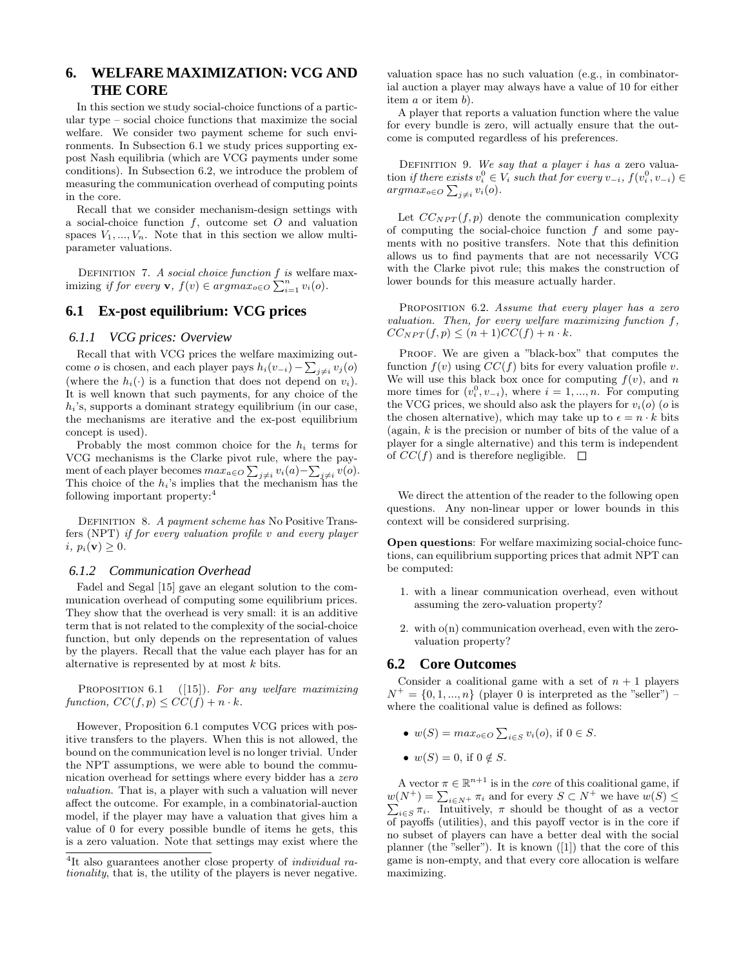# **6. WELFARE MAXIMIZATION: VCG AND THE CORE**

In this section we study social-choice functions of a particular type – social choice functions that maximize the social welfare. We consider two payment scheme for such environments. In Subsection 6.1 we study prices supporting expost Nash equilibria (which are VCG payments under some conditions). In Subsection 6.2, we introduce the problem of measuring the communication overhead of computing points in the core.

Recall that we consider mechanism-design settings with a social-choice function  $f$ , outcome set  $O$  and valuation spaces  $V_1, ..., V_n$ . Note that in this section we allow multiparameter valuations.

DEFINITION 7. A social choice function  $f$  is welfare max-DEFINITION *i*. A social choice function *j* is well<br>are imizing if for every **v**,  $f(v) \in argmax_{o \in O} \sum_{i=1}^{n} v_i(o)$ .

# **6.1 Ex-post equilibrium: VCG prices**

#### *6.1.1 VCG prices: Overview*

Recall that with VCG prices the welfare maximizing outcome *o* is chosen, and each player pays  $h_i(v_{-i}) - \sum_{j \neq i} v_j(o)$ (where the  $h_i(\cdot)$  is a function that does not depend on  $v_i$ ). It is well known that such payments, for any choice of the  $h_i$ 's, supports a dominant strategy equilibrium (in our case, the mechanisms are iterative and the ex-post equilibrium concept is used).

Probably the most common choice for the  $h_i$  terms for VCG mechanisms is the Clarke pivot rule, where the payment of each player becomes  $max_{a \in O} \sum_{j \neq i} v_i(a) - \sum_{j \neq i} v(o)$ . This choice of the  $h_i$ 's implies that the mechanism has the following important property:<sup>4</sup>

DEFINITION 8. A payment scheme has No Positive Transfers (NPT) if for every valuation profile v and every player i,  $p_i(\mathbf{v}) \geq 0$ .

#### *6.1.2 Communication Overhead*

Fadel and Segal [15] gave an elegant solution to the communication overhead of computing some equilibrium prices. They show that the overhead is very small: it is an additive term that is not related to the complexity of the social-choice function, but only depends on the representation of values by the players. Recall that the value each player has for an alternative is represented by at most  $k$  bits.

PROPOSITION 6.1 ([15]). For any welfare maximizing function,  $CC(f, p) \leq CC(f) + n \cdot k$ .

However, Proposition 6.1 computes VCG prices with positive transfers to the players. When this is not allowed, the bound on the communication level is no longer trivial. Under the NPT assumptions, we were able to bound the communication overhead for settings where every bidder has a zero valuation. That is, a player with such a valuation will never affect the outcome. For example, in a combinatorial-auction model, if the player may have a valuation that gives him a value of 0 for every possible bundle of items he gets, this is a zero valuation. Note that settings may exist where the valuation space has no such valuation (e.g., in combinatorial auction a player may always have a value of 10 for either item a or item b).

A player that reports a valuation function where the value for every bundle is zero, will actually ensure that the outcome is computed regardless of his preferences.

DEFINITION 9. We say that a player i has a zero valuation *if there exists*  $v_i^0 \in V_i$  such that for every  $v_{-i}$ ,  $f(v_i^0, v_{-i}) \in$ argma $x_{o \in O} \sum_{j \neq i} v_i(o)$ .

Let  $CC_{NPT}(f, p)$  denote the communication complexity of computing the social-choice function  $f$  and some payments with no positive transfers. Note that this definition allows us to find payments that are not necessarily VCG with the Clarke pivot rule; this makes the construction of lower bounds for this measure actually harder.

PROPOSITION 6.2. Assume that every player has a zero valuation. Then, for every welfare maximizing function f,  $CC_{NPT}(f, p) \leq (n+1)CC(f) + n \cdot k.$ 

PROOF. We are given a "black-box" that computes the function  $f(v)$  using  $CC(f)$  bits for every valuation profile v. We will use this black box once for computing  $f(v)$ , and n more times for  $(v_i^0, v_{-i})$ , where  $i = 1, ..., n$ . For computing the VCG prices, we should also ask the players for  $v_i(o)$  (*o* is the chosen alternative), which may take up to  $\epsilon = n \cdot k$  bits (again,  $k$  is the precision or number of bits of the value of a player for a single alternative) and this term is independent of  $CC(f)$  and is therefore negligible.  $\square$ 

We direct the attention of the reader to the following open questions. Any non-linear upper or lower bounds in this context will be considered surprising.

Open questions: For welfare maximizing social-choice functions, can equilibrium supporting prices that admit NPT can be computed:

- 1. with a linear communication overhead, even without assuming the zero-valuation property?
- 2. with o(n) communication overhead, even with the zerovaluation property?

## **6.2 Core Outcomes**

Consider a coalitional game with a set of  $n + 1$  players  $N^+ = \{0, 1, ..., n\}$  (player 0 is interpreted as the "seller") – where the coalitional value is defined as follows:

- $w(S) = max_{o \in O} \sum$  $i\in S} v_i(o)$ , if  $0 \in S$ .
- $w(S) = 0$ , if  $0 \notin S$ .

A vector  $\pi \in \mathbb{R}^{n+1}$  is in the *core* of this coalitional game, if A vector  $\pi \in \mathbb{R}$  is in the *core* of this coantional game, if  $w(N^+) = \sum_{i \in N^+} \pi_i$  and for every  $S \subset N^+$  we have  $w(S) \le$  $\pi_{i\in S}$   $\pi_i$ . Intuitively,  $\pi$  should be thought of as a vector of payoffs (utilities), and this payoff vector is in the core if no subset of players can have a better deal with the social planner (the "seller"). It is known ([1]) that the core of this game is non-empty, and that every core allocation is welfare maximizing.

<sup>&</sup>lt;sup>4</sup>It also guarantees another close property of *individual ra*tionality, that is, the utility of the players is never negative.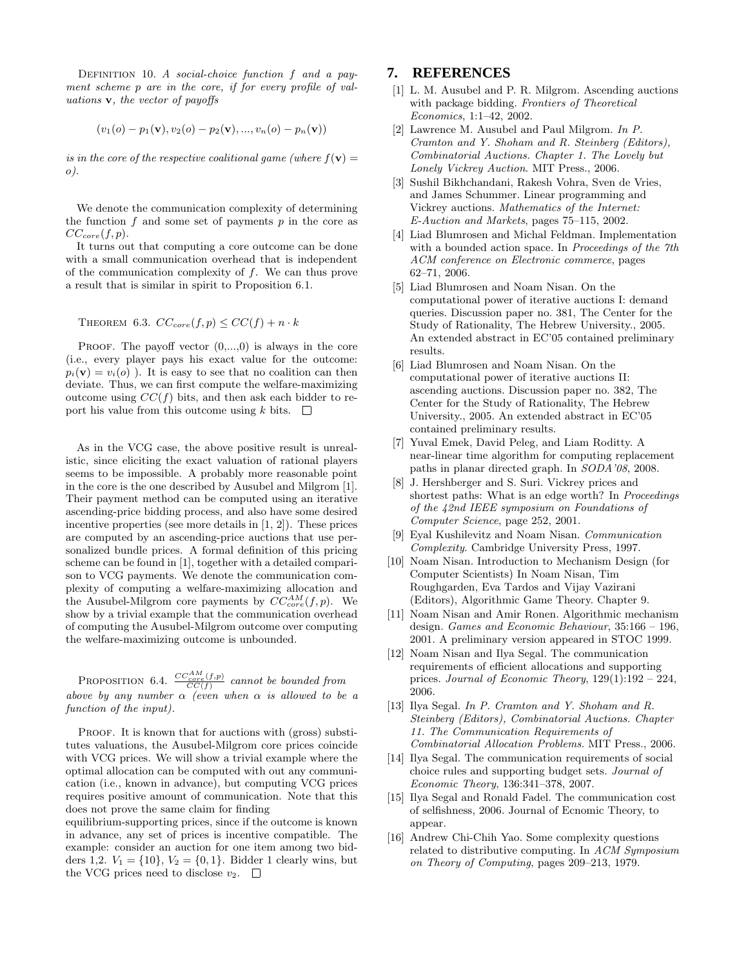DEFINITION 10. A social-choice function f and a payment scheme p are in the core, if for every profile of valuations v, the vector of payoffs

$$
(v_1(o) - p_1(v), v_2(o) - p_2(v), ..., v_n(o) - p_n(v))
$$

is in the core of the respective coalitional game (where  $f(\mathbf{v}) =$ o).

We denote the communication complexity of determining the function  $f$  and some set of payments  $p$  in the core as  $CC_{core}(f, p).$ 

It turns out that computing a core outcome can be done with a small communication overhead that is independent of the communication complexity of  $f$ . We can thus prove a result that is similar in spirit to Proposition 6.1.

THEOREM 6.3.  $CC_{core}(f, p) \leq CC(f) + n \cdot k$ 

PROOF. The payoff vector  $(0,...,0)$  is always in the core (i.e., every player pays his exact value for the outcome:  $p_i(\mathbf{v}) = v_i(o)$ . It is easy to see that no coalition can then deviate. Thus, we can first compute the welfare-maximizing outcome using  $CC(f)$  bits, and then ask each bidder to report his value from this outcome using  $k$  bits.  $\Box$ 

As in the VCG case, the above positive result is unrealistic, since eliciting the exact valuation of rational players seems to be impossible. A probably more reasonable point in the core is the one described by Ausubel and Milgrom [1]. Their payment method can be computed using an iterative ascending-price bidding process, and also have some desired incentive properties (see more details in [1, 2]). These prices are computed by an ascending-price auctions that use personalized bundle prices. A formal definition of this pricing scheme can be found in [1], together with a detailed comparison to VCG payments. We denote the communication complexity of computing a welfare-maximizing allocation and the Ausubel-Milgrom core payments by  $CC_{core}^{AM}(f, p)$ . We show by a trivial example that the communication overhead of computing the Ausubel-Milgrom outcome over computing the welfare-maximizing outcome is unbounded.

PROPOSITION 6.4.  $\frac{CC_{core}^{AM}(f,p)}{CC(f)}$  cannot be bounded from above by any number  $\alpha$  (even when  $\alpha$  is allowed to be a function of the input).

PROOF. It is known that for auctions with (gross) substitutes valuations, the Ausubel-Milgrom core prices coincide with VCG prices. We will show a trivial example where the optimal allocation can be computed with out any communication (i.e., known in advance), but computing VCG prices requires positive amount of communication. Note that this does not prove the same claim for finding

equilibrium-supporting prices, since if the outcome is known in advance, any set of prices is incentive compatible. The example: consider an auction for one item among two bidders 1,2.  $V_1 = \{10\}$ ,  $V_2 = \{0, 1\}$ . Bidder 1 clearly wins, but the VCG prices need to disclose  $v_2$ .  $\Box$ 

## **7. REFERENCES**

- [1] L. M. Ausubel and P. R. Milgrom. Ascending auctions with package bidding. Frontiers of Theoretical Economics, 1:1–42, 2002.
- [2] Lawrence M. Ausubel and Paul Milgrom. In P. Cramton and Y. Shoham and R. Steinberg (Editors), Combinatorial Auctions. Chapter 1. The Lovely but Lonely Vickrey Auction. MIT Press., 2006.
- [3] Sushil Bikhchandani, Rakesh Vohra, Sven de Vries, and James Schummer. Linear programming and Vickrey auctions. Mathematics of the Internet: E-Auction and Markets, pages 75–115, 2002.
- [4] Liad Blumrosen and Michal Feldman. Implementation with a bounded action space. In Proceedings of the 7th ACM conference on Electronic commerce, pages 62–71, 2006.
- [5] Liad Blumrosen and Noam Nisan. On the computational power of iterative auctions I: demand queries. Discussion paper no. 381, The Center for the Study of Rationality, The Hebrew University., 2005. An extended abstract in EC'05 contained preliminary results.
- [6] Liad Blumrosen and Noam Nisan. On the computational power of iterative auctions II: ascending auctions. Discussion paper no. 382, The Center for the Study of Rationality, The Hebrew University., 2005. An extended abstract in EC'05 contained preliminary results.
- [7] Yuval Emek, David Peleg, and Liam Roditty. A near-linear time algorithm for computing replacement paths in planar directed graph. In SODA'08, 2008.
- [8] J. Hershberger and S. Suri. Vickrey prices and shortest paths: What is an edge worth? In Proceedings of the 42nd IEEE symposium on Foundations of Computer Science, page 252, 2001.
- [9] Eyal Kushilevitz and Noam Nisan. Communication Complexity. Cambridge University Press, 1997.
- [10] Noam Nisan. Introduction to Mechanism Design (for Computer Scientists) In Noam Nisan, Tim Roughgarden, Eva Tardos and Vijay Vazirani (Editors), Algorithmic Game Theory. Chapter 9.
- [11] Noam Nisan and Amir Ronen. Algorithmic mechanism design. Games and Economic Behaviour, 35:166 – 196, 2001. A preliminary version appeared in STOC 1999.
- [12] Noam Nisan and Ilya Segal. The communication requirements of efficient allocations and supporting prices. Journal of Economic Theory, 129(1):192 – 224, 2006.
- [13] Ilya Segal. In P. Cramton and Y. Shoham and R. Steinberg (Editors), Combinatorial Auctions. Chapter 11. The Communication Requirements of Combinatorial Allocation Problems. MIT Press., 2006.
- [14] Ilya Segal. The communication requirements of social choice rules and supporting budget sets. Journal of Economic Theory, 136:341–378, 2007.
- [15] Ilya Segal and Ronald Fadel. The communication cost of selfishness, 2006. Journal of Ecnomic Theory, to appear.
- [16] Andrew Chi-Chih Yao. Some complexity questions related to distributive computing. In ACM Symposium on Theory of Computing, pages 209–213, 1979.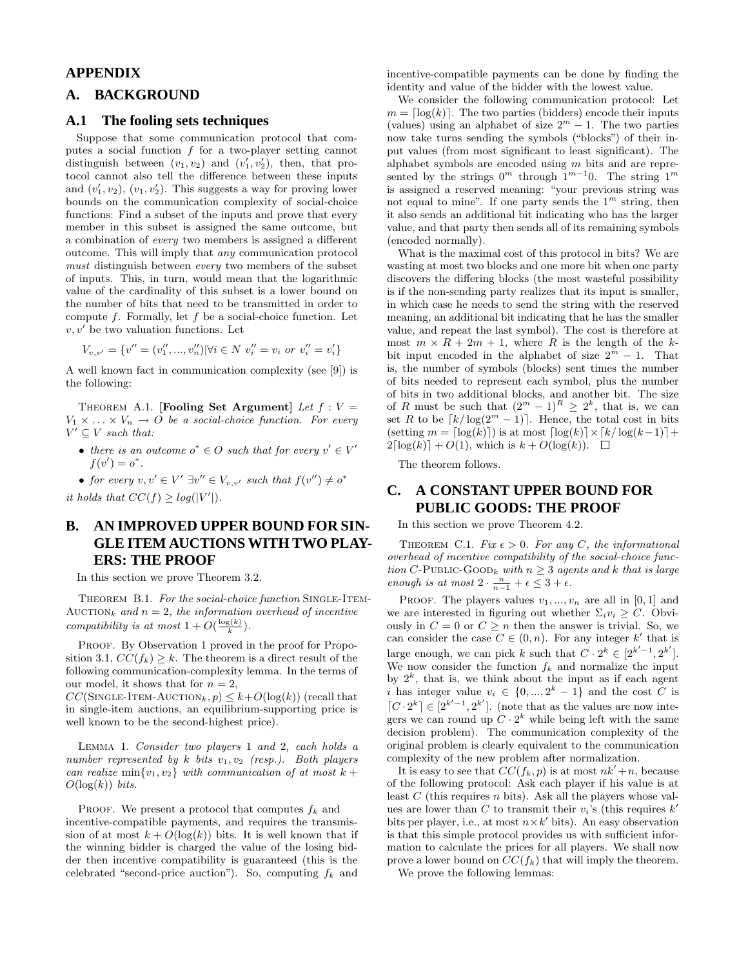# **APPENDIX**

# **A. BACKGROUND**

## **A.1 The fooling sets techniques**

Suppose that some communication protocol that computes a social function  $f$  for a two-player setting cannot distinguish between  $(v_1, v_2)$  and  $(v'_1, v'_2)$ , then, that protocol cannot also tell the difference between these inputs and  $(v'_1, v_2)$ ,  $(v_1, v'_2)$ . This suggests a way for proving lower bounds on the communication complexity of social-choice functions: Find a subset of the inputs and prove that every member in this subset is assigned the same outcome, but a combination of every two members is assigned a different outcome. This will imply that any communication protocol must distinguish between every two members of the subset of inputs. This, in turn, would mean that the logarithmic value of the cardinality of this subset is a lower bound on the number of bits that need to be transmitted in order to compute  $f$ . Formally, let  $f$  be a social-choice function. Let  $v, v'$  be two valuation functions. Let

$$
V_{v,v'} = \{v'' = (v''_1,...,v''_n)| \forall i \in N \ v''_i = v_i \text{ or } v''_i = v'_i\}
$$

A well known fact in communication complexity (see [9]) is the following:

THEOREM A.1. [Fooling Set Argument] Let  $f: V =$  $V_1 \times \ldots \times V_n \to O$  be a social-choice function. For every  $V' \subseteq V$  such that:

- there is an outcome  $o^* \in O$  such that for every  $v' \in V'$  $f(v') = o^*$ .
- for every  $v, v' \in V' \exists v'' \in V_{v,v'}$  such that  $f(v'') \neq o^*$

it holds that  $CC(f) \geq log(|V'|)$ .

# **B. AN IMPROVED UPPER BOUND FOR SIN-GLE ITEM AUCTIONS WITH TWO PLAY-ERS: THE PROOF**

In this section we prove Theorem 3.2.

THEOREM B.1. For the social-choice function SINGLE-ITEM-AUCTION<sub>k</sub> and  $n = 2$ , the information overhead of incentive compatibility is at most  $1 + O(\frac{\log(k)}{k})$ .

PROOF. By Observation 1 proved in the proof for Proposition 3.1,  $CC(f_k) \geq k$ . The theorem is a direct result of the following communication-complexity lemma. In the terms of our model, it shows that for  $n = 2$ ,

 $CC(\text{SINGLE-IFEM-AUCTION}_k, p) \leq k+O(\log(k))$  (recall that in single-item auctions, an equilibrium-supporting price is well known to be the second-highest price).

Lemma 1. Consider two players 1 and 2, each holds a number represented by  $k$  bits  $v_1, v_2$  (resp.). Both players can realize min $\{v_1, v_2\}$  with communication of at most  $k +$  $O(\log(k))$  bits.

PROOF. We present a protocol that computes  $f_k$  and incentive-compatible payments, and requires the transmission of at most  $k + O(\log(k))$  bits. It is well known that if the winning bidder is charged the value of the losing bidder then incentive compatibility is guaranteed (this is the celebrated "second-price auction"). So, computing  $f_k$  and

incentive-compatible payments can be done by finding the identity and value of the bidder with the lowest value.

We consider the following communication protocol: Let  $m = \lceil \log(k) \rceil$ . The two parties (bidders) encode their inputs (values) using an alphabet of size  $2^m - 1$ . The two parties now take turns sending the symbols ("blocks") of their input values (from most significant to least significant). The alphabet symbols are encoded using m bits and are represented by the strings  $0^m$  through  $1^{m-1}0$ . The string  $1^m$ is assigned a reserved meaning: "your previous string was not equal to mine". If one party sends the  $1<sup>m</sup>$  string, then it also sends an additional bit indicating who has the larger value, and that party then sends all of its remaining symbols (encoded normally).

What is the maximal cost of this protocol in bits? We are wasting at most two blocks and one more bit when one party discovers the differing blocks (the most wasteful possibility is if the non-sending party realizes that its input is smaller, in which case he needs to send the string with the reserved meaning, an additional bit indicating that he has the smaller value, and repeat the last symbol). The cost is therefore at most  $m \times R + 2m + 1$ , where R is the length of the kbit input encoded in the alphabet of size  $2^m - 1$ . That is, the number of symbols (blocks) sent times the number of bits needed to represent each symbol, plus the number of bits in two additional blocks, and another bit. The size of R must be such that  $(2^m - 1)^R \geq 2^k$ , that is, we can set R to be  $\lceil k/\log(2^m - 1) \rceil$ . Hence, the total cost in bits (setting  $m = \lceil \log(k) \rceil$ ) is at most  $\lceil \log(k) \rceil \times \lceil k/\log(k-1) \rceil + \lceil \log(k) \rceil$  $2\lceil log(k)\rceil + O(1)$ , which is  $k + O(log(k))$ .  $\Box$ 

The theorem follows.

# **C. A CONSTANT UPPER BOUND FOR PUBLIC GOODS: THE PROOF**

In this section we prove Theorem 4.2.

THEOREM C.1. Fix  $\epsilon > 0$ . For any C, the informational overhead of incentive compatibility of the social-choice function C-PUBLIC-GOOD<sub>k</sub> with  $n \geq 3$  agents and k that is large enough is at most  $2 \cdot \frac{n}{n-1} + \epsilon \leq 3 + \epsilon$ .

PROOF. The players values  $v_1, ..., v_n$  are all in  $[0, 1]$  and we are interested in figuring out whether  $\Sigma_i v_i \geq C$ . Obviously in  $C = 0$  or  $C \geq n$  then the answer is trivial. So, we can consider the case  $C \in (0, n)$ . For any integer k' that is large enough, we can pick k such that  $C \cdot 2^k \in [2^{k'-1}, 2^{k'}]$ . We now consider the function  $f_k$  and normalize the input by  $2^k$ , that is, we think about the input as if each agent i has integer value  $v_i \in \{0, ..., 2^k - 1\}$  and the cost C is  $[C \cdot 2^k] \in [2^{k'-1}, 2^{k'}]$ . (note that as the values are now integers we can round up  $C \cdot 2^k$  while being left with the same decision problem). The communication complexity of the original problem is clearly equivalent to the communication complexity of the new problem after normalization.

It is easy to see that  $CC(f_k, p)$  is at most  $nk' + n$ , because of the following protocol: Ask each player if his value is at least  $C$  (this requires n bits). Ask all the players whose values are lower than C to transmit their  $v_i$ 's (this requires  $k'$ bits per player, i.e., at most  $n \times k'$  bits). An easy observation is that this simple protocol provides us with sufficient information to calculate the prices for all players. We shall now prove a lower bound on  $CC(f_k)$  that will imply the theorem.

We prove the following lemmas: